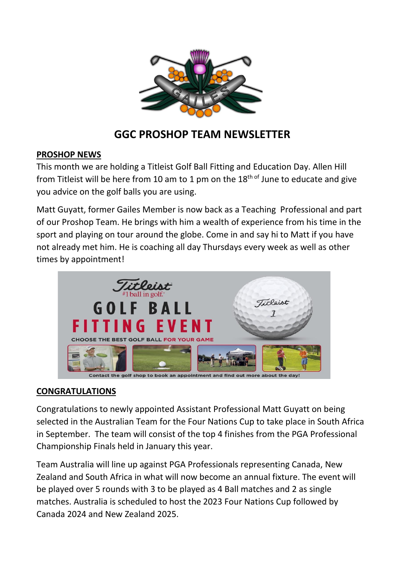

# **GGC PROSHOP TEAM NEWSLETTER**

## **PROSHOP NEWS**

This month we are holding a Titleist Golf Ball Fitting and Education Day. Allen Hill from Titleist will be here from 10 am to 1 pm on the  $18<sup>th of</sup>$  June to educate and give you advice on the golf balls you are using.

Matt Guyatt, former Gailes Member is now back as a Teaching Professional and part of our Proshop Team. He brings with him a wealth of experience from his time in the sport and playing on tour around the globe. Come in and say hi to Matt if you have not already met him. He is coaching all day Thursdays every week as well as other times by appointment!



Contact the golf shop to book an appointment and find out more about the day

#### **CONGRATULATIONS**

Congratulations to newly appointed Assistant Professional Matt Guyatt on being selected in the Australian Team for the Four Nations Cup to take place in South Africa in September. The team will consist of the top 4 finishes from the PGA Professional Championship Finals held in January this year.

Team Australia will line up against PGA Professionals representing Canada, New Zealand and South Africa in what will now become an annual fixture. The event will be played over 5 rounds with 3 to be played as 4 Ball matches and 2 as single matches. Australia is scheduled to host the 2023 Four Nations Cup followed by Canada 2024 and New Zealand 2025.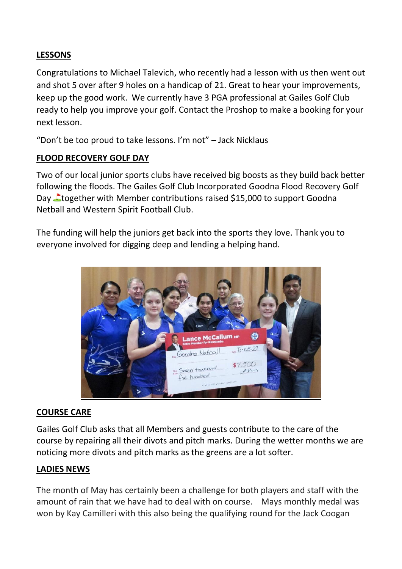# **LESSONS**

Congratulations to Michael Talevich, who recently had a lesson with us then went out and shot 5 over after 9 holes on a handicap of 21. Great to hear your improvements, keep up the good work. We currently have 3 PGA professional at Gailes Golf Club ready to help you improve your golf. Contact the Proshop to make a booking for your next lesson.

"Don't be too proud to take lessons. I'm not" – Jack Nicklaus

## **FLOOD RECOVERY GOLF DAY**

Two of our local junior sports clubs have received big boosts as they build back better following the floods. The Gailes Golf Club [Incorporated](https://www.facebook.com/Gailesgc/?__cft__%5b0%5d=AZWhUgmSu5an5FPgN6wyxdQ0IMXgLjOsVd1YMPDsIYmNwIvr45T4tHqqJ_0oye0OTjI_bFYGdP9dDieYQd82IrTMTAzh_Nv3AaJciL2tJXC0iNXctUPoeS3zDYo1NnsewnJ_9E41Q5ltmp4n9gC1Om1mI682mwRODzdbJwwjGY_kPMED8b0uhwFlrXk6jJocH-3VoqGrNoO4lr4Zpukf6a2H-FUNIsN9wPFghpyOpUyYZLIDweZgb9_oMgh-qK22Ppc&__tn__=kK-y-R) Goodna Flood Recovery Golf Day Ltogether with Member contributions raised \$15,000 to support [Goodna](https://www.facebook.com/goodna.netball?__cft__%5b0%5d=AZWhUgmSu5an5FPgN6wyxdQ0IMXgLjOsVd1YMPDsIYmNwIvr45T4tHqqJ_0oye0OTjI_bFYGdP9dDieYQd82IrTMTAzh_Nv3AaJciL2tJXC0iNXctUPoeS3zDYo1NnsewnJ_9E41Q5ltmp4n9gC1Om1mI682mwRODzdbJwwjGY_kPMED8b0uhwFlrXk6jJocH-3VoqGrNoO4lr4Zpukf6a2H-FUNIsN9wPFghpyOpUyYZLIDweZgb9_oMgh-qK22Ppc&__tn__=-%5dK-y-R) [Netball](https://www.facebook.com/goodna.netball?__cft__%5b0%5d=AZWhUgmSu5an5FPgN6wyxdQ0IMXgLjOsVd1YMPDsIYmNwIvr45T4tHqqJ_0oye0OTjI_bFYGdP9dDieYQd82IrTMTAzh_Nv3AaJciL2tJXC0iNXctUPoeS3zDYo1NnsewnJ_9E41Q5ltmp4n9gC1Om1mI682mwRODzdbJwwjGY_kPMED8b0uhwFlrXk6jJocH-3VoqGrNoO4lr4Zpukf6a2H-FUNIsN9wPFghpyOpUyYZLIDweZgb9_oMgh-qK22Ppc&__tn__=-%5dK-y-R) and [Western](https://www.facebook.com/westernspiritFC/?__cft__%5b0%5d=AZWhUgmSu5an5FPgN6wyxdQ0IMXgLjOsVd1YMPDsIYmNwIvr45T4tHqqJ_0oye0OTjI_bFYGdP9dDieYQd82IrTMTAzh_Nv3AaJciL2tJXC0iNXctUPoeS3zDYo1NnsewnJ_9E41Q5ltmp4n9gC1Om1mI682mwRODzdbJwwjGY_kPMED8b0uhwFlrXk6jJocH-3VoqGrNoO4lr4Zpukf6a2H-FUNIsN9wPFghpyOpUyYZLIDweZgb9_oMgh-qK22Ppc&__tn__=kK-y-R) Spirit Football Club.

The funding will help the juniors get back into the sports they love. Thank you to everyone involved for digging deep and lending a helping hand.



## **COURSE CARE**

Gailes Golf Club asks that all Members and guests contribute to the care of the course by repairing all their divots and pitch marks. During the wetter months we are noticing more divots and pitch marks as the greens are a lot softer.

## **LADIES NEWS**

The month of May has certainly been a challenge for both players and staff with the amount of rain that we have had to deal with on course. Mays monthly medal was won by Kay Camilleri with this also being the qualifying round for the Jack Coogan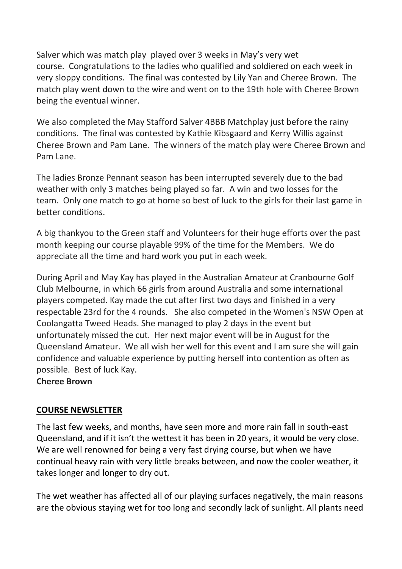Salver which was match play played over 3 weeks in May's very wet course. Congratulations to the ladies who qualified and soldiered on each week in very sloppy conditions. The final was contested by Lily Yan and Cheree Brown. The match play went down to the wire and went on to the 19th hole with Cheree Brown being the eventual winner.

We also completed the May Stafford Salver 4BBB Matchplay just before the rainy conditions. The final was contested by Kathie Kibsgaard and Kerry Willis against Cheree Brown and Pam Lane. The winners of the match play were Cheree Brown and Pam Lane.

The ladies Bronze Pennant season has been interrupted severely due to the bad weather with only 3 matches being played so far. A win and two losses for the team. Only one match to go at home so best of luck to the girls for their last game in better conditions.

A big thankyou to the Green staff and Volunteers for their huge efforts over the past month keeping our course playable 99% of the time for the Members. We do appreciate all the time and hard work you put in each week.

During April and May Kay has played in the Australian Amateur at Cranbourne Golf Club Melbourne, in which 66 girls from around Australia and some international players competed. Kay made the cut after first two days and finished in a very respectable 23rd for the 4 rounds. She also competed in the Women's NSW Open at Coolangatta Tweed Heads. She managed to play 2 days in the event but unfortunately missed the cut. Her next major event will be in August for the Queensland Amateur. We all wish her well for this event and I am sure she will gain confidence and valuable experience by putting herself into contention as often as possible. Best of luck Kay.

#### **Cheree Brown**

## **COURSE NEWSLETTER**

The last few weeks, and months, have seen more and more rain fall in south-east Queensland, and if it isn't the wettest it has been in 20 years, it would be very close. We are well renowned for being a very fast drying course, but when we have continual heavy rain with very little breaks between, and now the cooler weather, it takes longer and longer to dry out.

The wet weather has affected all of our playing surfaces negatively, the main reasons are the obvious staying wet for too long and secondly lack of sunlight. All plants need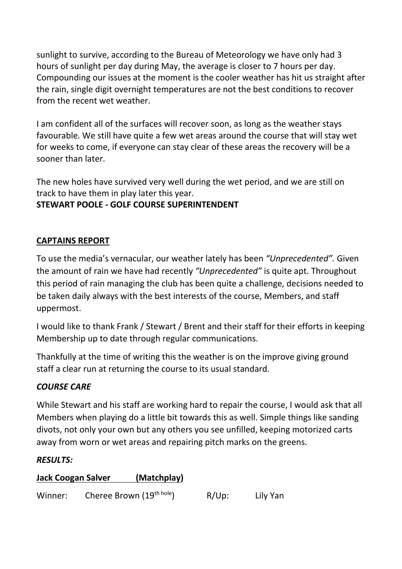sunlight to survive, according to the Bureau of Meteorology we have only had 3 hours of sunlight per day during May, the average is closer to 7 hours per day. Compounding our issues at the moment is the cooler weather has hit us straight after the rain, single digit overnight temperatures are not the best conditions to recover from the recent wet weather.

I am confident all of the surfaces will recover soon, as long as the weather stays favourable. We still have quite a few wet areas around the course that will stay wet for weeks to come, if everyone can stay clear of these areas the recovery will be a sooner than later.

The new holes have survived very well during the wet period, and we are still on track to have them in play later this year.

# **STEWART POOLE - GOLF COURSE SUPERINTENDENT**

# **CAPTAINS REPORT**

To use the media's vernacular, our weather lately has been *"Unprecedented".* Given the amount of rain we have had recently *"Unprecedented"* is quite apt. Throughout this period of rain managing the club has been quite a challenge, decisions needed to be taken daily always with the best interests of the course, Members, and staff uppermost.

I would like to thank Frank / Stewart / Brent and their staff for their efforts in keeping Membership up to date through regular communications.

Thankfully at the time of writing this the weather is on the improve giving ground staff a clear run at returning the course to its usual standard.

## *COURSE CARE*

While Stewart and his staff are working hard to repair the course, I would ask that all Members when playing do a little bit towards this as well. Simple things like sanding divots, not only your own but any others you see unfilled, keeping motorized carts away from worn or wet areas and repairing pitch marks on the greens.

#### *RESULTS:*

## **Jack Coogan Salver (Matchplay)**

Winner: Cheree Brown (19<sup>th hole</sup>) R/Up: Lily Yan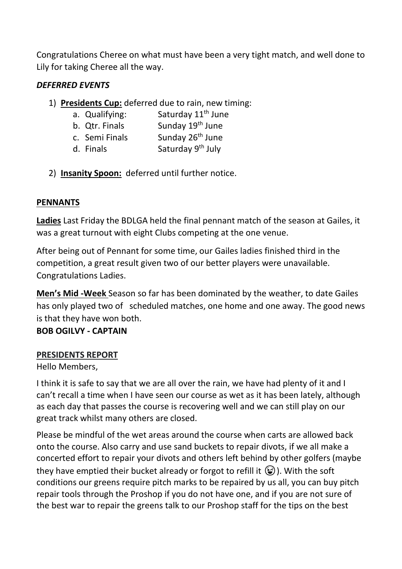Congratulations Cheree on what must have been a very tight match, and well done to Lily for taking Cheree all the way.

## *DEFERRED EVENTS*

- 1) **Presidents Cup:** deferred due to rain, new timing:
	- a. Qualifying: Saturday  $11<sup>th</sup>$  June b. Qtr. Finals Sunday 19<sup>th</sup> June c. Semi Finals Sunday 26<sup>th</sup> June d. Finals Saturday 9<sup>th</sup> July
- 2) **Insanity Spoon:** deferred until further notice.

## **PENNANTS**

**Ladies** Last Friday the BDLGA held the final pennant match of the season at Gailes, it was a great turnout with eight Clubs competing at the one venue.

After being out of Pennant for some time, our Gailes ladies finished third in the competition, a great result given two of our better players were unavailable. Congratulations Ladies.

**Men's Mid -Week** Season so far has been dominated by the weather, to date Gailes has only played two of scheduled matches, one home and one away. The good news is that they have won both.

#### **BOB OGILVY - CAPTAIN**

#### **PRESIDENTS REPORT**

Hello Members,

I think it is safe to say that we are all over the rain, we have had plenty of it and I can't recall a time when I have seen our course as wet as it has been lately, although as each day that passes the course is recovering well and we can still play on our great track whilst many others are closed.

Please be mindful of the wet areas around the course when carts are allowed back onto the course. Also carry and use sand buckets to repair divots, if we all make a concerted effort to repair your divots and others left behind by other golfers (maybe they have emptied their bucket already or forgot to refill it  $\mathcal{F}$ ). With the soft conditions our greens require pitch marks to be repaired by us all, you can buy pitch repair tools through the Proshop if you do not have one, and if you are not sure of the best war to repair the greens talk to our Proshop staff for the tips on the best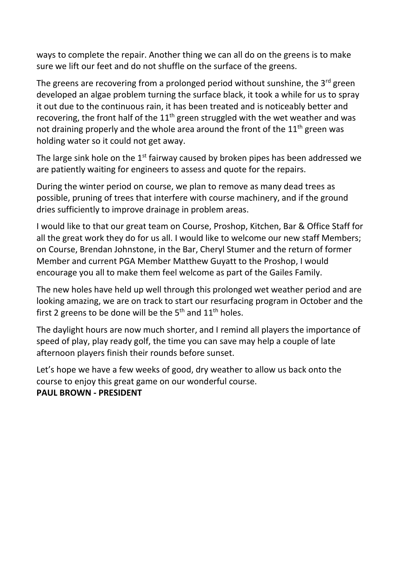ways to complete the repair. Another thing we can all do on the greens is to make sure we lift our feet and do not shuffle on the surface of the greens.

The greens are recovering from a prolonged period without sunshine, the  $3<sup>rd</sup>$  green developed an algae problem turning the surface black, it took a while for us to spray it out due to the continuous rain, it has been treated and is noticeably better and recovering, the front half of the  $11<sup>th</sup>$  green struggled with the wet weather and was not draining properly and the whole area around the front of the  $11<sup>th</sup>$  green was holding water so it could not get away.

The large sink hole on the  $1<sup>st</sup>$  fairway caused by broken pipes has been addressed we are patiently waiting for engineers to assess and quote for the repairs.

During the winter period on course, we plan to remove as many dead trees as possible, pruning of trees that interfere with course machinery, and if the ground dries sufficiently to improve drainage in problem areas.

I would like to that our great team on Course, Proshop, Kitchen, Bar & Office Staff for all the great work they do for us all. I would like to welcome our new staff Members; on Course, Brendan Johnstone, in the Bar, Cheryl Stumer and the return of former Member and current PGA Member Matthew Guyatt to the Proshop, I would encourage you all to make them feel welcome as part of the Gailes Family.

The new holes have held up well through this prolonged wet weather period and are looking amazing, we are on track to start our resurfacing program in October and the first 2 greens to be done will be the  $5<sup>th</sup>$  and  $11<sup>th</sup>$  holes.

The daylight hours are now much shorter, and I remind all players the importance of speed of play, play ready golf, the time you can save may help a couple of late afternoon players finish their rounds before sunset.

Let's hope we have a few weeks of good, dry weather to allow us back onto the course to enjoy this great game on our wonderful course.

#### **PAUL BROWN - PRESIDENT**